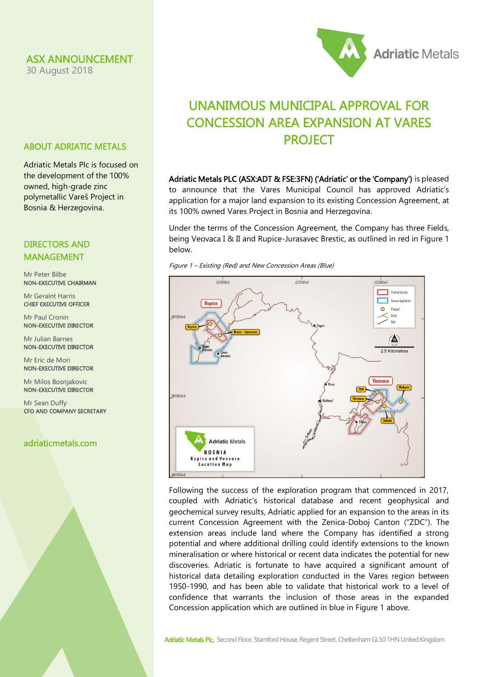#### ASX ANNOUNCEMENT

30 August 2018



## UNANIMOUS MUNICIPAL APPROVAL FOR CONCESSION AREA EXPANSION AT VARES PROJECT

Adriatic Metals PLC (ASX:ADT & FSE:3FN) ('Adriatic' or the 'Company') is pleased to announce that the Vares Municipal Council has approved Adriatic's application for a major land expansion to its existing Concession Agreement, at its 100% owned Vares Project in Bosnia and Herzegovina.

Under the terms of the Concession Agreement, the Company has three Fields, being Veovaca I & II and Rupice-Jurasavec Brestic, as outlined in red in Figure 1 below.





Following the success of the exploration program that commenced in 2017, coupled with Adriatic's historical database and recent geophysical and geochemical survey results, Adriatic applied for an expansion to the areas in its current Concession Agreement with the Zenica-Doboj Canton ("ZDC"). The extension areas include land where the Company has identified a strong potential and where additional drilling could identify extensions to the known mineralisation or where historical or recent data indicates the potential for new discoveries. Adriatic is fortunate to have acquired a significant amount of historical data detailing exploration conducted in the Vares region between 1950-1990, and has been able to validate that historical work to a level of confidence that warrants the inclusion of those areas in the expanded Concession application which are outlined in blue in Figure 1 above.

# ABOUT ADRIATIC METALS Adriatic Metals Plc is focused on

the development of the 100% owned, high-grade zinc polymetallic Vareš Project in Bosnia & Herzegovina.

#### DIRECTORS AND MANAGEMENT

Mr Peter Bilbe NON-EXECUTIVE CHAIRMAN

Mr Geraint Harris CHIEF EXECUTIVE OFFICER

Mr Paul Cronin NON-EXECUTIVE DIRECTOR

Mr Julian Barnes NON-EXECUTIVE DIRECTOR

Mr Eric de Mori NON-EXECUTIVE DIRECTOR

Mr Milos Bosnjakovic NON-EXECUTIVE DIRECTOR

Mr Sean Duffy CFO AND COMPANY SECRETARY

### adriaticmetals.com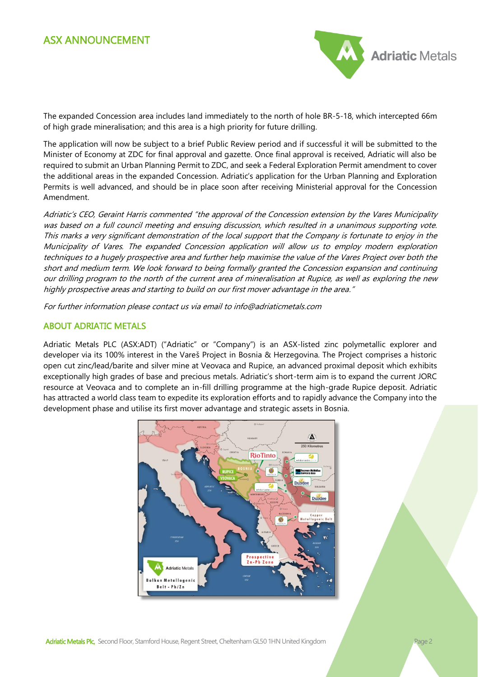

The expanded Concession area includes land immediately to the north of hole BR-5-18, which intercepted 66m of high grade mineralisation; and this area is a high priority for future drilling.

The application will now be subject to a brief Public Review period and if successful it will be submitted to the Minister of Economy at ZDC for final approval and gazette. Once final approval is received, Adriatic will also be required to submit an Urban Planning Permit to ZDC, and seek a Federal Exploration Permit amendment to cover the additional areas in the expanded Concession. Adriatic's application for the Urban Planning and Exploration Permits is well advanced, and should be in place soon after receiving Ministerial approval for the Concession Amendment.

Adriatic's CEO, Geraint Harris commented "the approval of the Concession extension by the Vares Municipality was based on a full council meeting and ensuing discussion, which resulted in a unanimous supporting vote. This marks a very significant demonstration of the local support that the Company is fortunate to enjoy in the Municipality of Vares. The expanded Concession application will allow us to employ modern exploration techniques to a hugely prospective area and further help maximise the value of the Vares Project over both the short and medium term. We look forward to being formally granted the Concession expansion and continuing our drilling program to the north of the current area of mineralisation at Rupice, as well as exploring the new highly prospective areas and starting to build on our first mover advantage in the area."

For further information please contact us via email to info@adriaticmetals.com

#### ABOUT ADRIATIC METALS

Adriatic Metals PLC (ASX:ADT) ("Adriatic" or "Company") is an ASX-listed zinc polymetallic explorer and developer via its 100% interest in the Vareš Project in Bosnia & Herzegovina. The Project comprises a historic open cut zinc/lead/barite and silver mine at Veovaca and Rupice, an advanced proximal deposit which exhibits exceptionally high grades of base and precious metals. Adriatic's short-term aim is to expand the current JORC resource at Veovaca and to complete an in-fill drilling programme at the high-grade Rupice deposit. Adriatic has attracted a world class team to expedite its exploration efforts and to rapidly advance the Company into the development phase and utilise its first mover advantage and strategic assets in Bosnia.